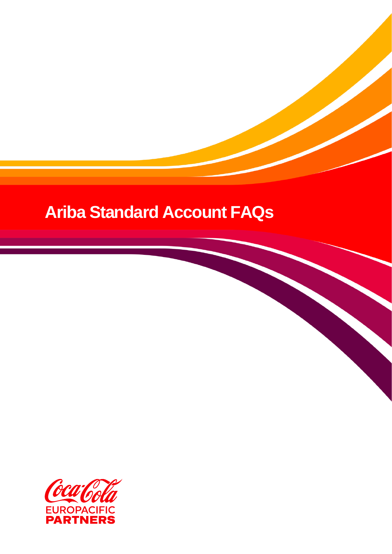# **Ariba Standard Account FAQs**

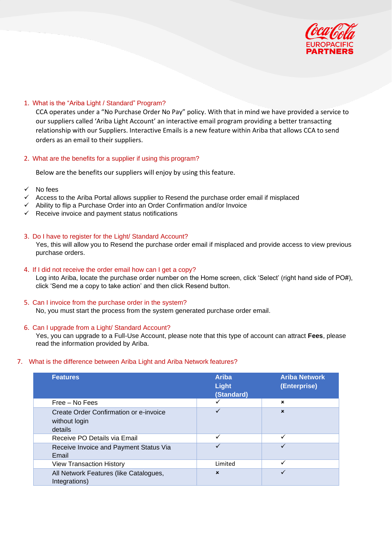

## 1. What is the "Ariba Light / Standard" Program?

CCA operates under a "No Purchase Order No Pay" policy. With that in mind we have provided a service to our suppliers called 'Ariba Light Account' an interactive email program providing a better transacting relationship with our Suppliers. Interactive Emails is a new feature within Ariba that allows CCA to send orders as an email to their suppliers.

#### 2. What are the benefits for a supplier if using this program?

Below are the benefits our suppliers will enjoy by using this feature.

- No fees
- Access to the Ariba Portal allows supplier to Resend the purchase order email if misplaced
- ✓ Ability to flip a Purchase Order into an Order Confirmation and/or Invoice
- $\checkmark$  Receive invoice and payment status notifications

#### 3. Do I have to register for the Light/ Standard Account?

Yes, this will allow you to Resend the purchase order email if misplaced and provide access to view previous purchase orders.

#### 4. If I did not receive the order email how can I get a copy?

Log into Ariba, locate the purchase order number on the Home screen, click 'Select' (right hand side of PO#), click 'Send me a copy to take action' and then click Resend button.

#### 5. Can I invoice from the purchase order in the system?

No, you must start the process from the system generated purchase order email.

### 6. Can I upgrade from a Light/ Standard Account?

Yes, you can upgrade to a Full-Use Account, please note that this type of account can attract **Fees**, please read the information provided by Ariba.

#### 7. What is the difference between Ariba Light and Ariba Network features?

| <b>Features</b>                                                    | <b>Ariba</b><br>Light<br>(Standard) | <b>Ariba Network</b><br>(Enterprise) |
|--------------------------------------------------------------------|-------------------------------------|--------------------------------------|
| Free – No Fees                                                     | ✓                                   | $\mathbf x$                          |
| Create Order Confirmation or e-invoice<br>without login<br>details | ✓                                   | $\mathbf{x}$                         |
| Receive PO Details via Email                                       | ✓                                   | ✓                                    |
| Receive Invoice and Payment Status Via<br>Email                    | ✓                                   | ✓                                    |
| <b>View Transaction History</b>                                    | Limited                             | ✓                                    |
| All Network Features (like Catalogues,<br>Integrations)            | $\mathbf{x}$                        | ✓                                    |